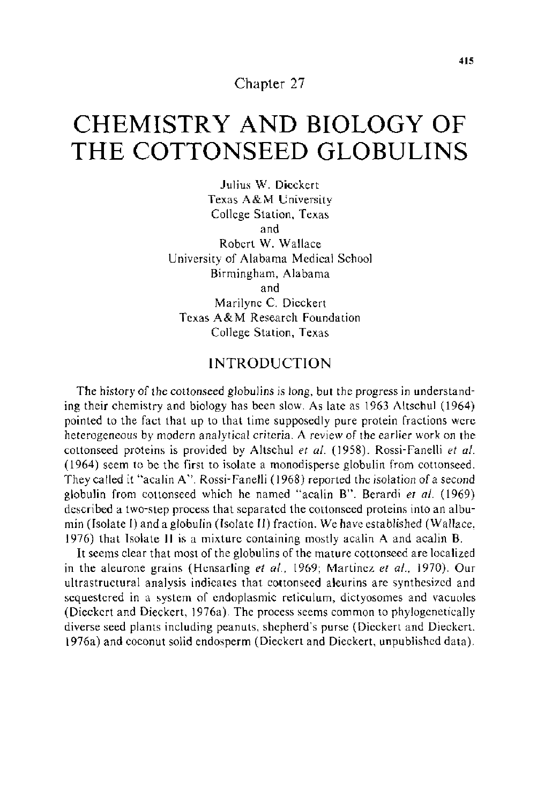Chapter 27

# **CHEMISTRY AND BIOLOGY OF THE COTTONSEED GLOBULINS**

Julius W. Dieckert Texas A&M University College Station, Texas and Robert W. Wallace University of Alabama Medical School Birmingham, Alabama and Marilyne C. Dieckert Texas A&M Research Foundation College Station, Texas

## **INTRODUCTION**

The history of the cottonseed globulins is long, but the progress in understanding their chemistry and biology has been slow. As late as 1963 Altschul (1964) pointed to the fact that up to that time supposedly pure protein fractions were heterogeneous by modern analytical criteria. A review of the earlier work on the cottonseed proteins is provided by Altschul *et al.* (1958). Rossi-Fanelli *et al.* (1964) seem to be the first to isolate a monodisperse globulin from cottonseed. They called it "acalin A". Rossi- Fanelli ( 1968) reported the isolation of a second globulin from cottonseed which he named "acalin B". Berardi *et a!.* (1969) described a two-step process that separated the cottonseed proteins into an albumin (Isolate I) and a globulin (Isolate Il) fraction. We have established (Wallace, l 976) that Isolate II is a mixture containing mostly acalin A and acalin B.

It seems clear that most of the globulins of the mature cottonseed are localized in the aleurone grains (Hensarling *et al.,* 1969; Martinez *et a!.,* 1970). Our ultrastructural analysis indicates that cottonseed aleurins are synthesized and sequestered in a system of endoplasmic reticulum, dictyosomes and vacuoles (Dieckert and Dieckert, 1976a). The process seems common to phylogenetically diverse seed plants including peanuts, shepherd's purse (Dieckert and Dieckert. 1976a) and coconut solid endosperm (Dieckert and Dieckert, unpublished data).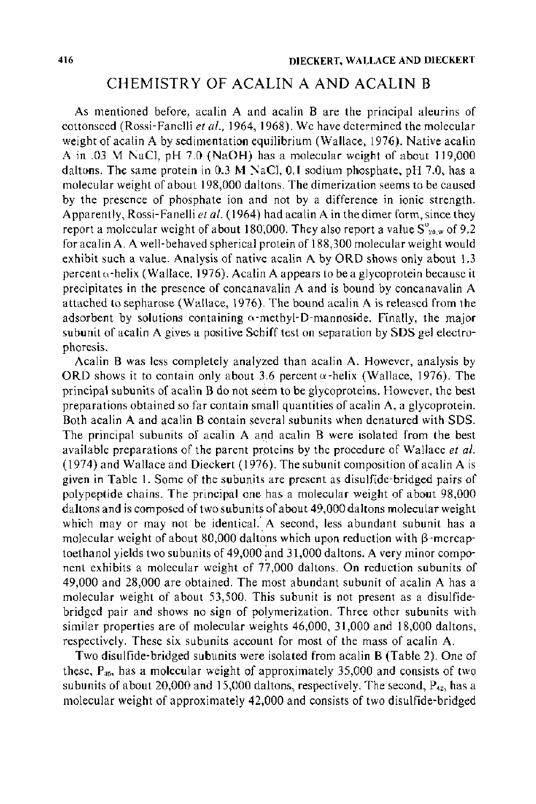## CHEMISTRY OF ACALIN A AND ACALIN B

As mentioned before, acalin A and acalin B are the principal aleurins of cottonseed (Rossi-Fanelli et al., 1964, 1968). We have determined the molecular weight of acalin A by sedimentation equilibrium (Wallace, 1976). Native acalin A in .03 M NaCl, pH 7.0 (NaOH) has a molecular weight of about 119,000 daltons. The same protein in 0.3 M NaCl, 0.1 sodium phosphate, pH 7.0, has a molecular weight of about 198,000 daltons. The dimerization seems to be caused by the presence of phosphate ion and not by a difference in ionic strength. Apparently, Rossi-Fanelli *et al.* (1964) had acalin A in the dimer form, since they report a molecular weight of about 180,000. They also report a value  $S^0_{z_0,w}$  of 9.2 for acalin A. A well-behaved spherical protein of 188,300 molecular weight would exhibit such a value. Analysis of native acalin A by ORO shows only about 1.3 percent  $\alpha$ -helix (Wallace, 1976). Acalin A appears to be a glycoprotein because it precipitates in the presence of concanavalin A and is bound by concanavalin A attached to sepharose (Wallace, 1976). The bound acalin A is released from the adsorbent by solutions containing o-methyl-D-mannoside. Finally, the major subunit of acalin A gives a positive Schiff test on separation by SDS gel electrophoresis.

Acalin B was less completely analyzed than acalin A. However, analysis by ORD shows it to contain only about 3.6 percent  $\alpha$ -helix (Wallace, 1976). The principal subunits of acalin B do not seem to be glycoproteins. However, the best preparations obtained so far contain small quantities of acalin A, a glycoprotein. Both acalin A and acalin B contain several subunits when denatured with SDS. The principal subunits of acalin A and acalin B were isolated from the best available preparations of the parent proteins by the procedure of Wallace *et a/.*  (1974) and Wallace and Dieckert (1976). The subunit composition of acalin A is given in Table 1. Some of the subunits are present as disulfide-bridged pairs of polypeptide chains. The principal one has a molecular weight of about 98,000 daltons and is composed of two subunits of about 49,000 daltons molecular weight which may or may not be identical. A second, less abundant subunit has a molecular weight of about 80,000 daltons which upon reduction with  $\beta$ -mercaptoethanol yields two subunits of  $49,000$  and 31,000 daltons. A very minor component exhibits a molecular weight of  $77,000$  daltons. On reduction subunits of 49,000 and 28,000 are obtained. The most abundant subunit of acalin A has a molecular weight of about 53,500. This subunit is not present as a disulfidebridged pair and shows no sign of polymerization. Three other subunits with similar properties are of molecular weights 46,000, 31,000 and 18,000 daltons, respectively. These six subunits account for most of the mass of acalin A.

Two disulfide-bridged subunits were isolated from acalin B (Table 2). One of these,  $P_{35}$ , has a molecular weight of approximately 35,000 and consists of two subunits of about 20,000 and 15,000 daltons, respectively. The second,  $P_{42}$ , has a molecular weight of approximately 42,000 and consists of two disulfide-bridged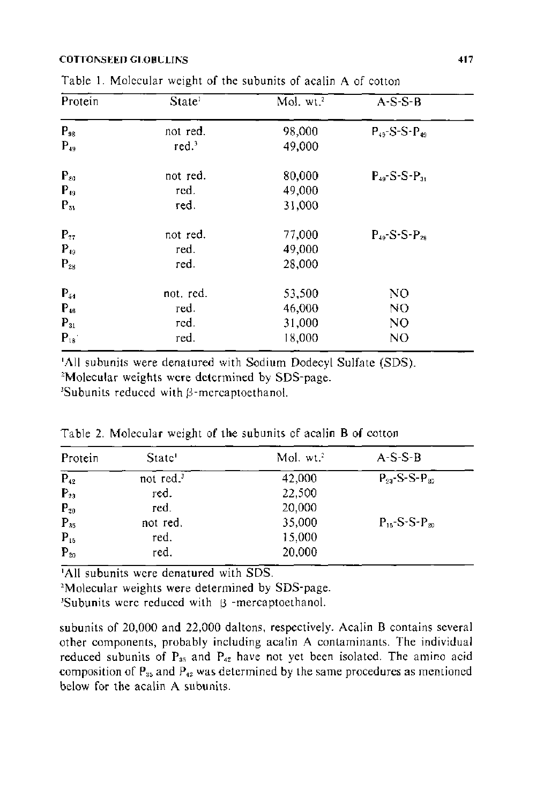#### COTTONSEED GLOBULINS

| Protein  | State <sup>1</sup> | Mol. wt. <sup>2</sup> | $A-S-S-B$                    |
|----------|--------------------|-----------------------|------------------------------|
| $P_{98}$ | not red.           | 98,000                | $P_{49}$ -S-S- $P_{49}$      |
| $P_{49}$ | red <sup>3</sup>   | 49,000                |                              |
| $P_{eq}$ | not red.           | 80,000                | $P_{49}$ -S-S-P <sub>3</sub> |
| $P_{49}$ | red.               | 49,000                |                              |
| $P_{31}$ | red.               | 31,000                |                              |
| $P_{77}$ | not red.           | 77,000                | $P_{48}$ S-S- $P_{28}$       |
| $P_{49}$ | red.               | 49,000                |                              |
| $P_{28}$ | red.               | 28,000                |                              |
| $P_{54}$ | not. red.          | 53,500                | N <sub>O</sub>               |
| $P_{46}$ | red.               | 46,000                | NO.                          |
| $P_{31}$ | red.               | 31,000                | N <sub>O</sub>               |
| $P_{18}$ | red.               | 18,000                | N <sub>O</sub>               |

Table I. Molecular weight of the subunits of acalin A of cotton

'All subunits were denatured with Sodium Dodecyl Sulfate (SDS). 2 <sup>2</sup>Molecular weights were determined by SDS-page.

Subunits reduced with (3-mercaptoethanol.

| Protein             | State <sup>1</sup> | Mol. wt. <sup>2</sup> | $A-S-B$                   |
|---------------------|--------------------|-----------------------|---------------------------|
| $\overline{P_{42}}$ | not red. $3$       | 42,000                | $P_{23}$ -S-S- $P_{20}$   |
| $P_{23}$            | red.               | 22,500                |                           |
| $P_{20}$            | red.               | 20,000                |                           |
| $P_{35}$            | not red.           | 35,000                | $P_{15} - S - S - P_{20}$ |
| $P_{15}$            | red.               | 15,000                |                           |
| $P_{20}$            | red.               | 20,000                |                           |

Table 2. Molecular weight of the subunits of acalin B of cotton

'All subunits were denatured with SDS. 2

<sup>2</sup>Molecular weights were determined by SDS-page.

 $3$ Subunits were reduced with  $\beta$  -mercaptoethanol.

subunits of 20,000 and 22,000 daltons, respectively. Acalin B contains several other components, probably including acalin A contaminants. The individual reduced subunits of  $P_{35}$  and  $P_{42}$  have not yet been isolated. The amino acid composition of  $P_{35}$  and  $P_{42}$  was determined by the same procedures as mentioned below for the acalin A subunits.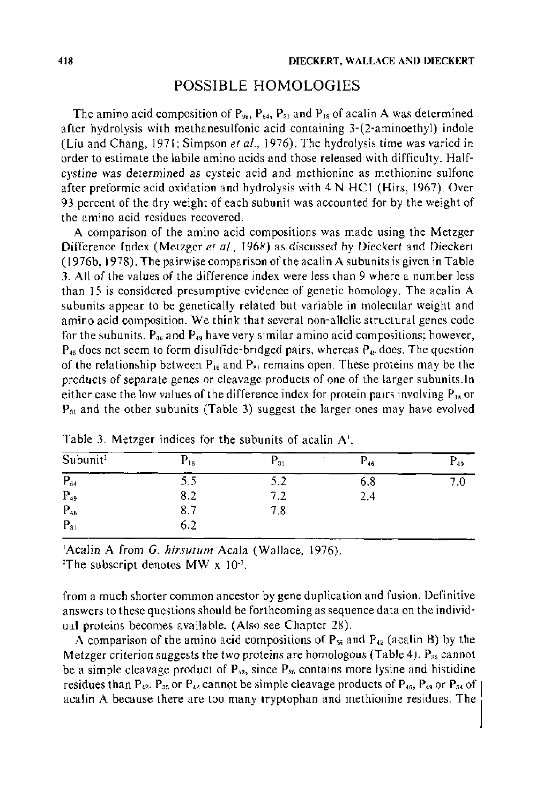## POSSIBLE HOMOLOGIES

The amino acid composition of  $P_{98}$ ,  $P_{54}$ ,  $P_{31}$  and  $P_{18}$  of acalin A was determined after hydrolysis with methanesulfonic acid containing 3-(2-aminoethyl) indole (Liu and Chang, 1971; Simpson *et al.,* 1976). The hydrolysis time was varied in order to estimate the labile amino acids and those released with difficulty. Halfcystine was determined as cysteic acid and methionine as methionine sulfone after preformic acid oxidation and hydrolysis with 4 N HCl (Hirs, 1967). Over 93 percent of the dry weight of each subunit was accounted for by the weight of the amino acid residues recovered.

A comparison of the amino acid compositions was made using the Metzger Difference Index (Metzger *et al.,* 1968) as discussed by Dieckert and Dieckert ( 1976b, 1978). The pairwise comparison of the acalin A subunits is given in Table 3. All of the values of the difference index were less than 9 where a number less than 15 is considered presumptive evidence of genetic homology. The acalin A subunits appear to be genetically related but variable in molecular weight and amino acid composition. We think that several non-allelic structural genes code for the subunits.  $P_{46}$  and  $P_{49}$  have very similar amino acid compositions; however,  $P_{46}$  does not seem to form disulfide-bridged pairs, whereas  $P_{49}$  does. The question of the relationship between  $P_{18}$  and  $P_{31}$  remains open. These proteins may be the products of separate genes or cleavage products of one of the larger subunits.ln either case the low values of the difference index for protein pairs involving  $P_{15}$  or P31 and the other subunits (Table 3) suggest the larger ones may have evolved

| Subunit <sup>2</sup> | $P_{18}$ | $P_{31}$ | $\sim$<br>$P_{46}$ | $\Gamma_{49}$ |
|----------------------|----------|----------|--------------------|---------------|
| $P_{54}$             | 5.5      | D.Z      | 6.8                | 7.0           |
| $P_{49}$             | 8.2      | 7.2      | 2.4                |               |
| $P_{46}$             | 8.7      | 7.8      |                    |               |
| $P_{31}$             | 6.2      |          |                    |               |

Table 3. Metzger indices for the subunits of acalin A'.

'Acalin A from *G. hirsutum* Acala (Wallace, 1976).

<sup>2</sup>The subscript denotes MW  $x$  10<sup>-3</sup>.

from a much shorter common ancestor by gene duplication and fusion. Definitive answers to these questions should be forthcoming as sequence data on the individual proteins becomes available. (Also see Chapter 28).

A comparison of the amino acid compositions of  $P_{35}$  and  $P_{42}$  (acalin B) by the Metzger criterion suggests the two proteins are homologous (Table 4).  $P_{35}$  cannot be a simple cleavage product of  $P_{42}$ , since  $P_{35}$  contains more lysine and histidine residues than  $P_{42}$ .  $P_{35}$  or  $P_{42}$  cannot be simple cleavage products of  $P_{46}$ ,  $P_{49}$  or  $P_{54}$  of acalin A because there are too many tryptophan and methionine residues. The

1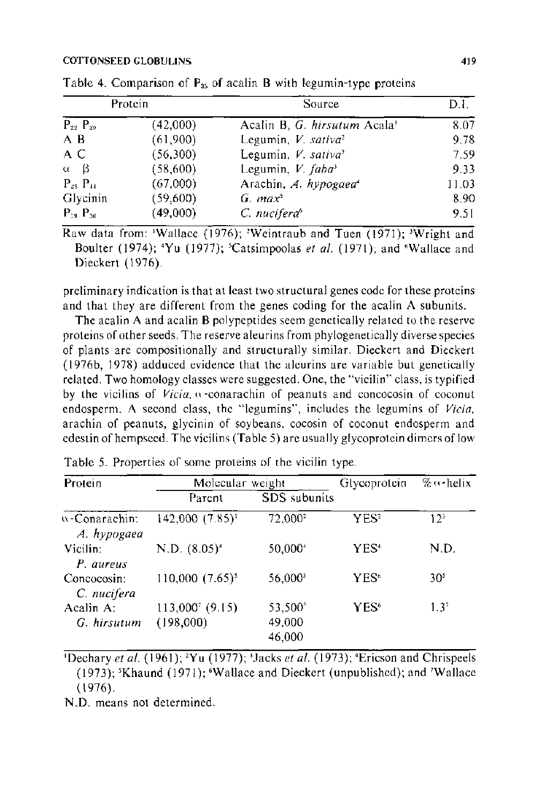#### COTTONSEED GLOBULINS **419**

| Protein           |          | Source                                   | DI.   |  |
|-------------------|----------|------------------------------------------|-------|--|
| $P_{22}$ $P_{20}$ | (42,000) | Acalin B, G. hirsutum Acala <sup>1</sup> | 8.07  |  |
| A B               | (61,900) | Legumin, V. sativa <sup>2</sup>          | 9.78  |  |
| A C               | (56,300) | Legumin, $V$ . sativa <sup>2</sup>       | 7.59  |  |
| $\alpha$<br>- B   | (58,600) | Legumin, V. faba <sup>3</sup>            | 9.33  |  |
| $P_{25}$ $P_{44}$ | (67,000) | Arachin, A. hypogaea <sup>1</sup>        | 11.03 |  |
| Glycinin          | (59,600) | $G.$ max <sup>3</sup>                    | 8.90  |  |
| $P_{19}$ $P_{30}$ | (49,000) | C. nucifera <sup>t</sup>                 | 9.51  |  |

Table 4. Comparison of P<sub>35</sub> of acalin **B** with legumin-type proteins

Raw data from: 'Wallace (1976); 'Weintraub and Tuen  $(1971)$ ; 'Wright and Boulter (1974); <sup>4</sup>Yu (1977); <sup>5</sup>Catsimpoolas *et al.* (1971); and <sup>6</sup>Wallace and Dieckert (1976).

preliminary indication is that at least two structural genes code for these proteins and that they are different from the genes coding for the acalin A subunits.

The acalin A and acalin B polypeptides seem genetically related to the reserve proteins of other seeds. The reserve aleurins from phylogenetically diverse species of plants are compositionally and structurally similar. Dieckert and Dieckert (1976b, 1978) adduced evidence that the aleurins are variable but genetically related. Two homology classes were suggested. One, the "vicilin" class, is typified by the vicilins of *Vicia,* n -conarachin of peanuts and concocosin of coconut endosperm. A second class, the "legumins", includes the legumins of *Vicia.*  arachin of peanuts, glycinin of soybeans, cocosin of coconut endosperm and edestin of hempseed. The vicilins (Table 5) are usually glycoprotein dimers of low

| Protein                      | Molecular weight            |                             | Glycoprotein     | % o-helix       |  |
|------------------------------|-----------------------------|-----------------------------|------------------|-----------------|--|
|                              | Parent                      | SDS subunits                |                  |                 |  |
| a-Conarachin:<br>A. hypogaea | $142,000$ $(7.85)^{1}$      | 72.000 <sup>2</sup>         | YES:             | 12 <sup>3</sup> |  |
| Vicilin:<br>P. aureus        | N.D. $(8.05)^4$             | 50,000*                     | YES <sup>.</sup> | N.D.            |  |
| Concocosin:<br>C. nucifera   | $110,000 (7.65)^{3}$        | 56,000 <sup>s</sup>         | YES <sup>®</sup> | 30 <sup>5</sup> |  |
| $Acalin A$ :<br>G. hirsutum  | 113,000 (9.15)<br>(198,000) | 53,500°<br>49,000<br>46,000 | YES <sup>6</sup> | $1.3^{\circ}$   |  |

Table 5. Properties of some proteins of the vicilin type.

<sup>1</sup>Dechary *et al.* (1961); <sup>2</sup>Yu (1977); <sup>3</sup>Jacks *et al.* (1973); <sup>4</sup>Ericson and Chrispeels (1973); 'Khaund (1971); •Wallace and Dieckert (unpublished); and 'Wallace (1976).

N.D. means not determined.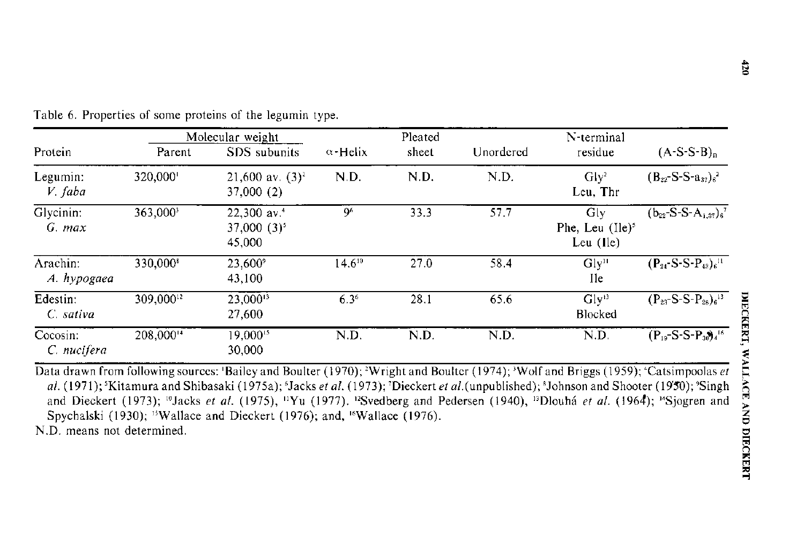|                         |                       | Molecular weight                                     |                  | Pleated |           | N-terminal                                  |                                                              |
|-------------------------|-----------------------|------------------------------------------------------|------------------|---------|-----------|---------------------------------------------|--------------------------------------------------------------|
| Protein                 | Parent                | SDS subunits                                         | $\alpha$ -Helix  | sheet   | Unordered | residue                                     | $(A-S-S-B)n$                                                 |
| Legumin:<br>$V$ faba    | 320,000               | 21,600 av. $(3)^2$<br>37,000 (2)                     | ND.              | N.D.    | N.D.      | Gly <sup>2</sup><br>Leu, Thr                | $(B_{22}-S-S-a_{37})_{6}^{2}$                                |
| Glycinin:<br>$G.$ max   | 363,000 <sup>3</sup>  | 22,300 av. <sup>4</sup><br>$37,000(3)^{5}$<br>45,000 | <b>96</b>        | 33.3    | 57.7      | Gly<br>Phe, Leu $(1e)^5$<br>Leu $($ lle $)$ | $(b_{22}$ -S-S-A <sub>1.37</sub> ) <sub>6</sub> <sup>7</sup> |
| Arachin:<br>A. hypogaea | 330,000               | 23,600°<br>43,100                                    | $14.6^{10}$      | 27.0    | 584       | Gly''<br>Ile.                               | $(P_{24}-S-S-P_{43})_{6}^{11}$                               |
| Edestin:<br>C. sativa   | 309,00012             | $23,000^{13}$<br>27,600                              | 6.3 <sup>6</sup> | 28.1    | 65.6      | Gly <sup>13</sup><br>Blocked                | $(P_{23}-S-S-P_{28})$ <sup>13</sup>                          |
| Cocosin:<br>C. nucifera | 208,000 <sup>14</sup> | 19,000 <sup>15</sup><br>30,000                       | ND.              | N.D.    | N.D.      | N.D.                                        | $(P_{19}-S-S-P_{30})^{-16}$                                  |

Table 6. Properties of some proteins of the legumin type.

Data drawn from following sources: 'Bailey and Boulter (1970); <sup>2</sup>Wright and Boulter (1974); <sup>3</sup>Wolf and Briggs (1959); "Catsimpoolas *et*  $\vert \Sigma \vert$ al. (1971); 'Kitamura and Shibasaki (1975a); 'Jacks *et al.* (1973); 'Dieckert *et al.* (unpublished); 'Johnson and Shooter (19'50); 'Singh  $\frac{2}{\sqrt{2}}$ and Dieckert (1973); <sup>10</sup>Jacks et al. (1975), <sup>11</sup>Yu (1977). <sup>12</sup>Svedberg and Pedersen (1940), <sup>13</sup>Dlouhá et al. (1964); <sup>14</sup>Sjogren and Spychalski (1930); <sup>15</sup>Wallace and Dieckert (1976); and, <sup>16</sup>Wallace (1976).

N.D. means not determined.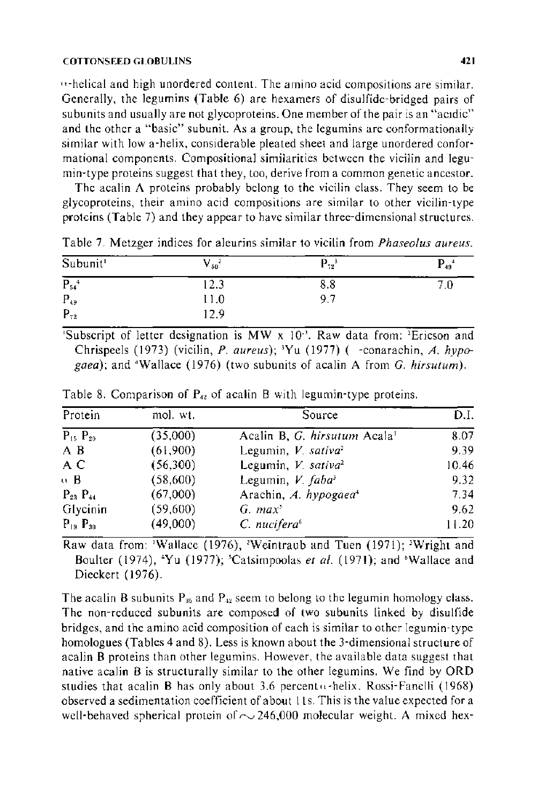#### COTTONSEED GLOBULINS **421**

 $t_1$ -helical and high unordered content. The amino acid compositions are similar. Generally, the legumins (Table 6) are hexamers of disulfide-bridged pairs of subunits and usually are not glycoproteins. One member of the pair is an "acidic" and the other a "basic" subunit. As a group, the legumins are conformationally similar with low a-helix, considerable pleated sheet and large unordered conformational components. Compositional similarities between the vicilin and legumin-type proteins suggest that they, too, derive from a common genetic ancestor.

The acalin  $\Lambda$  proteins probably belong to the vicilin class. They seem to be glycoproteins, their amino acid compositions are similar to other vicilin-type proteins (Table 7) and they appear to have similar three-dimensional structures.

| Subunit <sup>1</sup>  | $V_{50}$ | $\mathbf{P_{72}}^3$ | $P_{49}$ <sup>4</sup> |
|-----------------------|----------|---------------------|-----------------------|
| $P_{54}$ <sup>4</sup> | .4.3     | 8.8                 | ' C                   |
| $P_{49}$              | 11.0     | 9.7                 |                       |
| $P_{72}$              | 2.9      |                     |                       |

Table 7. Metzger indices for aleurins similar to vicilin from *Phaseolus aureus.* 

Subscript of letter designation is MW  $x$  10<sup>-3</sup>. Raw data from: <sup>2</sup>Ericson and Chrispeels (1973) (vicilin, *P. aureus);* 'Yu (1977) ( -conarachin, *A. hypogaea);* and "Wallace (1976) (two subunits of acalin A from *G. hirsutum).* 

| Protein           | mol. wt. | Source                                   | D.I.  |
|-------------------|----------|------------------------------------------|-------|
| $P_{15}$ $P_{20}$ | (35,000) | Acalin B, G. hirsutum Acala <sup>1</sup> | 8.07  |
| A B               | (61,900) | Legumin, V. sativa <sup>2</sup>          | 9.39  |
| A C               | (56,300) | Legumin, V. sativa <sup>2</sup>          | 10.46 |
| o B               | (58,600) | Legumin, V. faba <sup>3</sup>            | 9.32  |
| $P_{23}$ $P_{14}$ | (67,000) | Arachin, A. hypogaea <sup>4</sup>        | 7.34  |
| Glycinin          | (59,600) | G. $max3$                                | 9.62  |
| $P_{19}$ $P_{30}$ | (49,000) | $C.$ nucifera $6$                        | 11.20 |

Table 8. Comparison of  $P_{42}$  of acalin B with legumin-type proteins.

Raw data from: 'Wallace (1976), 'Weintraub and Tuen (1971); 'Wright and Boulter (1974), 'Yu (1977); 'Catsimpoolas et al. (1971); and 'Wallace and Dieckert (1976).

The acalin B subunits  $P_{35}$  and  $P_{42}$  seem to belong to the legumin homology class. The non-reduced subunits are composed of two subunits linked by disulfide bridges, and the amino acid composition of each is similar to other legumin-type homologues (Tables 4 and 8). Less is known about the 3-dimensional structure of acalin 8 proteins than other legumins. However, the available data suggest that native acalin B is structurally similar to the other legumins. We find by ORO studies that acalin B has only about 3.6 percent  $\alpha$ -helix. Rossi-Fanelli (1968) observed a sedimentation coefficient of about II s. This is the value expected for a well-behaved spherical protein of  $\sim$  246,000 molecular weight. A mixed hex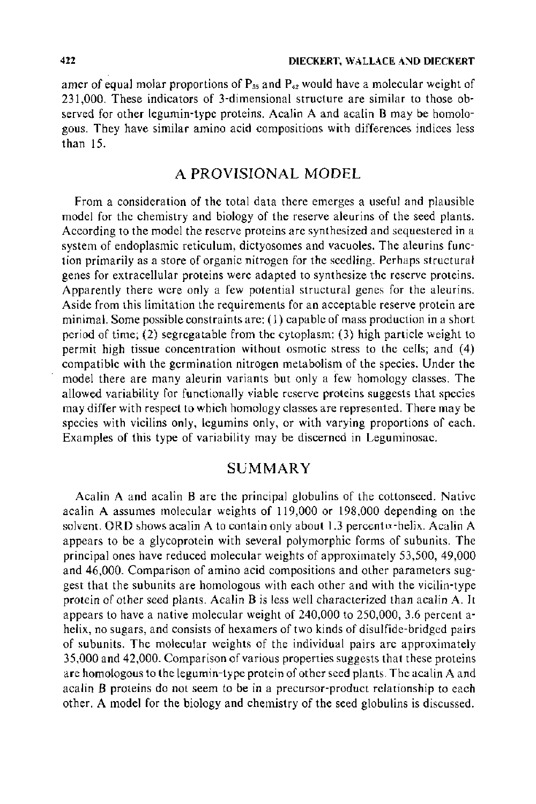amer of equal molar proportions of  $P_{35}$  and  $P_{42}$  would have a molecular weight of 231,000. These indicators of 3-dimensional structure are similar to those observed for other legumin-type proteins. Acalin A and acalin B may be homologous. They have similar amino acid compositions with differences indices less than 15.

## A PROVISIONAL MODEL

From a consideration of the total data there emerges a useful and plausible model for the chemistry and biology of the reserve aleurins of the seed plants. According to the model the reserve proteins are synthesized and sequestered in a system of endoplasmic reticulum, dictyosomes and vacuoles. The aleurins function primarily as a store of organic nitrogen for the seedling. Perhaps structural genes for extracellular proteins were adapted to synthesize the reserve proteins. Apparently there were only a few potential structural genes for the aleurins. Aside from this limitation the requirements for an acceptable reserve protein are minimal. Some possible constraints are: (1) capable of mass production in a short period of time; (2) segregatable from the cytoplasm; (3) high particle weight to permit high tissue concentration without osmotic stress to the cells; and (4) compatible with the germination nitrogen metabolism of the species. Under the model there are many aleurin variants but only a few homology classes. The allowed variability for functionally viable reserve proteins suggests that species may differ with respect to which homology classes are represented. There may be species with vicilins only, legumins only, or with varying proportions of each. Examples of this type of variability may be discerned in Leguminosae.

## SUMMARY

Acalin A and acalin B are the principal globulins of the cottonseed. Native acalin A assumes molecular weights of 119,000 or 198,000 depending on the solvent. ORD shows acalin A to contain only about 1.3 percent *x*-helix. Acalin A appears to be a glycoprotein with several polymorphic forms of subunits. The principal ones have reduced molecular weights of approximately 53,500, 49,000 and 46,000. Comparison of amino acid compositions and other parameters suggest that the subunits are homologous with each other and with the vicilin-type protein of other seed plants. Acalin B is less well characterized than acalin A. It appears to have a native molecular weight of 240,000 to 250,000, 3.6 percent ahelix, no sugars, and consists of hexamers of two kinds of disulfide-bridged pairs of subunits. The molecular weights of the individual pairs are approximately 35,000 and 42,000. Comparison of various properties suggests that these proteins are homologous to the legumin-type protein of other seed plants. The acalin A and acalin B proteins do not seem to be in a precursor-product relationship to each other. A model for the biology and chemistry of the seed globulins is discussed.